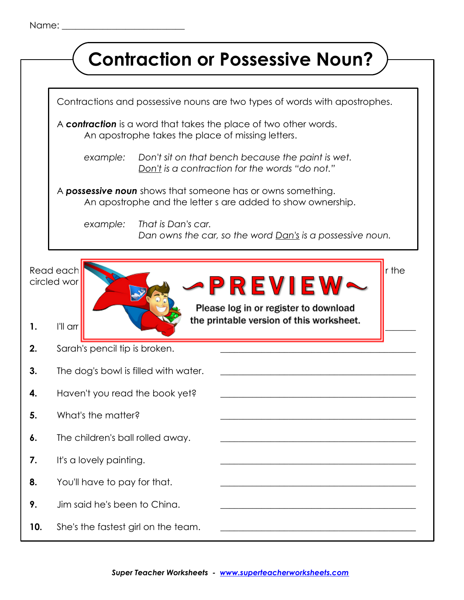|     | <b>Contraction or Possessive Noun?</b>                                                                                                                |  |
|-----|-------------------------------------------------------------------------------------------------------------------------------------------------------|--|
|     |                                                                                                                                                       |  |
|     | Contractions and possessive nouns are two types of words with apostrophes.                                                                            |  |
|     | A contraction is a word that takes the place of two other words.<br>An apostrophe takes the place of missing letters.                                 |  |
|     | Don't sit on that bench because the paint is wet.<br>example:<br>Don't is a contraction for the words "do not."                                       |  |
|     | A <b>possessive noun</b> shows that someone has or owns something.<br>An apostrophe and the letter s are added to show ownership.                     |  |
|     | That is Dan's car.<br>example:<br>Dan owns the car, so the word <u>Dan's</u> is a possessive noun.                                                    |  |
| 1.  | Read each<br>r the<br><b>-PREVIEW</b><br>circled wor<br>Please log in or register to download<br>the printable version of this worksheet.<br>I'll arr |  |
| 2.  | Sarah's pencil tip is broken.                                                                                                                         |  |
| 3.  | The dog's bowl is filled with water.                                                                                                                  |  |
| 4.  | Haven't you read the book yet?                                                                                                                        |  |
| 5.  | What's the matter?                                                                                                                                    |  |
| 6.  | The children's ball rolled away.                                                                                                                      |  |
| 7.  | It's a lovely painting.<br>the control of the control of the control of the control of the control of the control of the control of                   |  |
| 8.  | You'll have to pay for that.                                                                                                                          |  |
| 9.  | Jim said he's been to China.                                                                                                                          |  |
| 10. | She's the fastest girl on the team.                                                                                                                   |  |